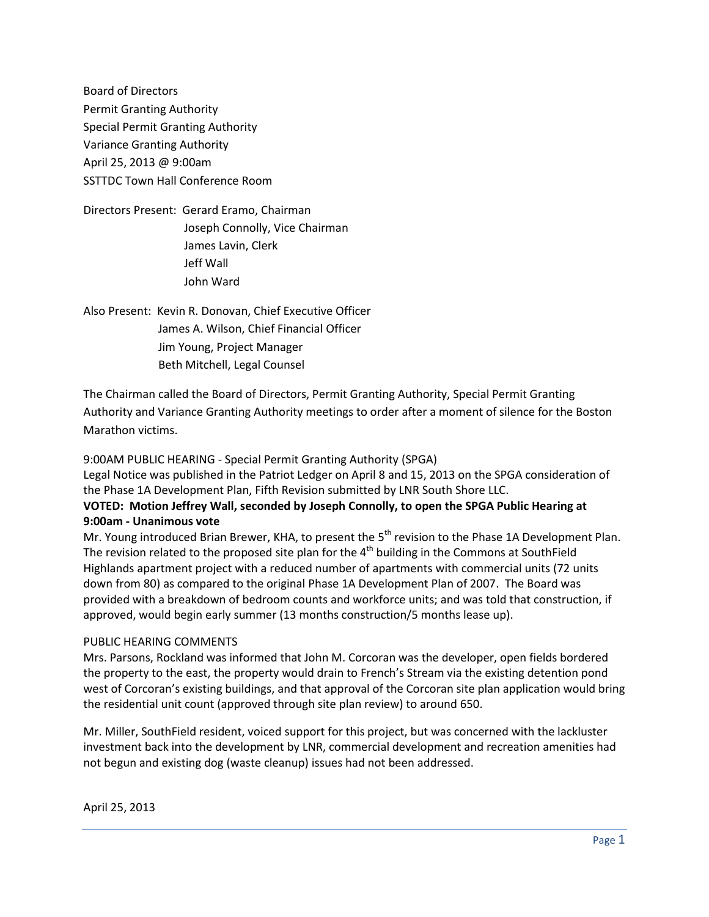Board of Directors Permit Granting Authority Special Permit Granting Authority Variance Granting Authority April 25, 2013 @ 9:00am SSTTDC Town Hall Conference Room

Directors Present: Gerard Eramo, Chairman Joseph Connolly, Vice Chairman James Lavin, Clerk Jeff Wall John Ward

Also Present: Kevin R. Donovan, Chief Executive Officer James A. Wilson, Chief Financial Officer Jim Young, Project Manager Beth Mitchell, Legal Counsel

The Chairman called the Board of Directors, Permit Granting Authority, Special Permit Granting Authority and Variance Granting Authority meetings to order after a moment of silence for the Boston Marathon victims.

9:00AM PUBLIC HEARING - Special Permit Granting Authority (SPGA) Legal Notice was published in the Patriot Ledger on April 8 and 15, 2013 on the SPGA consideration of the Phase 1A Development Plan, Fifth Revision submitted by LNR South Shore LLC. **VOTED: Motion Jeffrey Wall, seconded by Joseph Connolly, to open the SPGA Public Hearing at** 

#### **9:00am - Unanimous vote**

Mr. Young introduced Brian Brewer, KHA, to present the 5<sup>th</sup> revision to the Phase 1A Development Plan. The revision related to the proposed site plan for the 4<sup>th</sup> building in the Commons at SouthField Highlands apartment project with a reduced number of apartments with commercial units (72 units down from 80) as compared to the original Phase 1A Development Plan of 2007. The Board was provided with a breakdown of bedroom counts and workforce units; and was told that construction, if approved, would begin early summer (13 months construction/5 months lease up).

## PUBLIC HEARING COMMENTS

Mrs. Parsons, Rockland was informed that John M. Corcoran was the developer, open fields bordered the property to the east, the property would drain to French's Stream via the existing detention pond west of Corcoran's existing buildings, and that approval of the Corcoran site plan application would bring the residential unit count (approved through site plan review) to around 650.

Mr. Miller, SouthField resident, voiced support for this project, but was concerned with the lackluster investment back into the development by LNR, commercial development and recreation amenities had not begun and existing dog (waste cleanup) issues had not been addressed.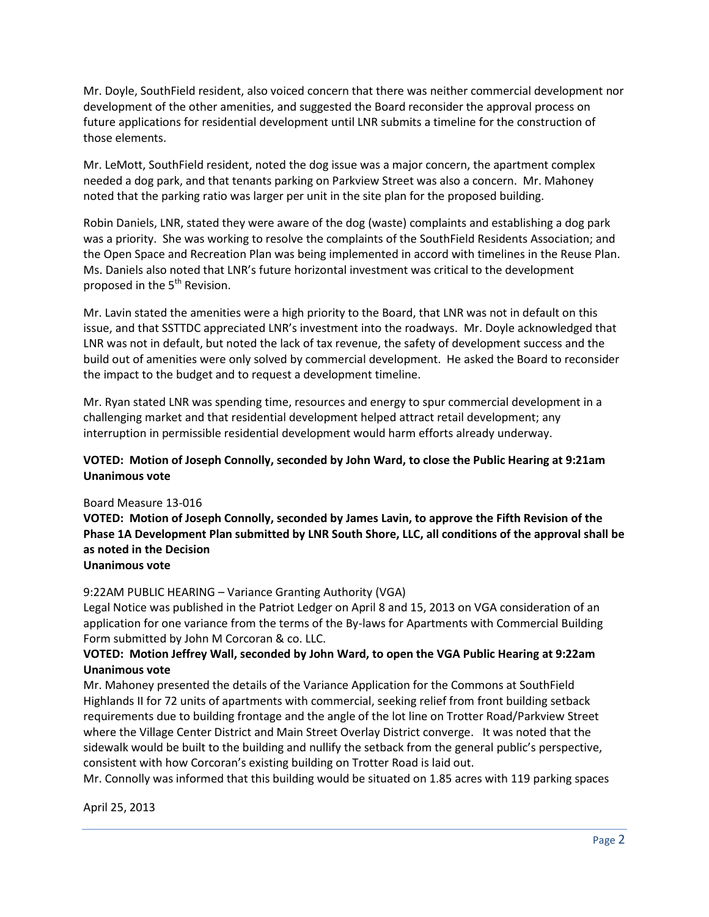Mr. Doyle, SouthField resident, also voiced concern that there was neither commercial development nor development of the other amenities, and suggested the Board reconsider the approval process on future applications for residential development until LNR submits a timeline for the construction of those elements.

Mr. LeMott, SouthField resident, noted the dog issue was a major concern, the apartment complex needed a dog park, and that tenants parking on Parkview Street was also a concern. Mr. Mahoney noted that the parking ratio was larger per unit in the site plan for the proposed building.

Robin Daniels, LNR, stated they were aware of the dog (waste) complaints and establishing a dog park was a priority. She was working to resolve the complaints of the SouthField Residents Association; and the Open Space and Recreation Plan was being implemented in accord with timelines in the Reuse Plan. Ms. Daniels also noted that LNR's future horizontal investment was critical to the development proposed in the 5<sup>th</sup> Revision.

Mr. Lavin stated the amenities were a high priority to the Board, that LNR was not in default on this issue, and that SSTTDC appreciated LNR's investment into the roadways. Mr. Doyle acknowledged that LNR was not in default, but noted the lack of tax revenue, the safety of development success and the build out of amenities were only solved by commercial development. He asked the Board to reconsider the impact to the budget and to request a development timeline.

Mr. Ryan stated LNR was spending time, resources and energy to spur commercial development in a challenging market and that residential development helped attract retail development; any interruption in permissible residential development would harm efforts already underway.

# **VOTED: Motion of Joseph Connolly, seconded by John Ward, to close the Public Hearing at 9:21am Unanimous vote**

## Board Measure 13-016

**VOTED: Motion of Joseph Connolly, seconded by James Lavin, to approve the Fifth Revision of the Phase 1A Development Plan submitted by LNR South Shore, LLC, all conditions of the approval shall be as noted in the Decision**

**Unanimous vote**

## 9:22AM PUBLIC HEARING – Variance Granting Authority (VGA)

Legal Notice was published in the Patriot Ledger on April 8 and 15, 2013 on VGA consideration of an application for one variance from the terms of the By-laws for Apartments with Commercial Building Form submitted by John M Corcoran & co. LLC.

# **VOTED: Motion Jeffrey Wall, seconded by John Ward, to open the VGA Public Hearing at 9:22am Unanimous vote**

Mr. Mahoney presented the details of the Variance Application for the Commons at SouthField Highlands II for 72 units of apartments with commercial, seeking relief from front building setback requirements due to building frontage and the angle of the lot line on Trotter Road/Parkview Street where the Village Center District and Main Street Overlay District converge. It was noted that the sidewalk would be built to the building and nullify the setback from the general public's perspective, consistent with how Corcoran's existing building on Trotter Road is laid out.

Mr. Connolly was informed that this building would be situated on 1.85 acres with 119 parking spaces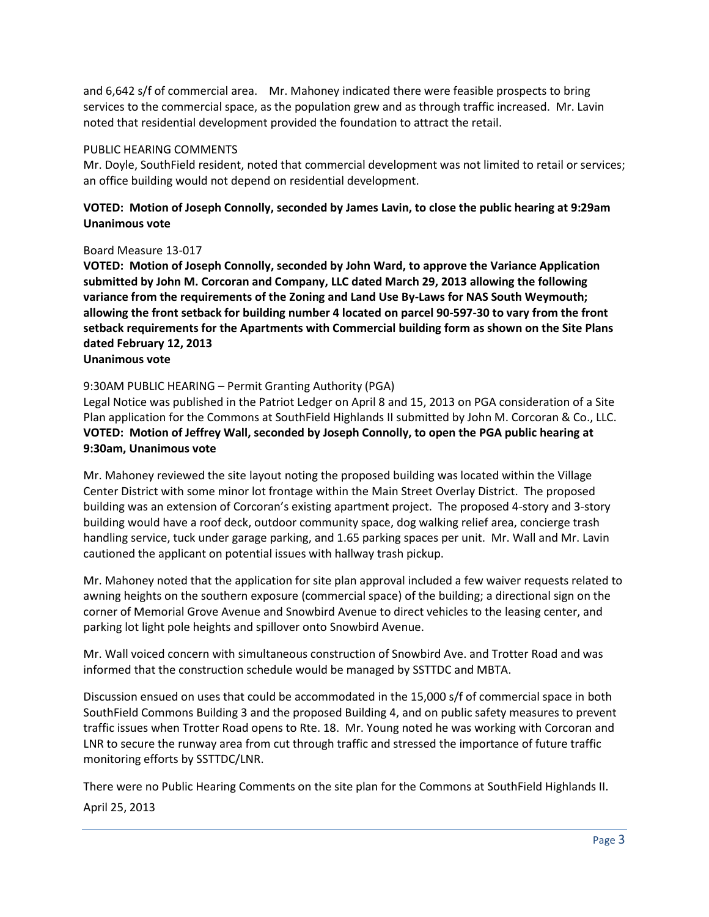and 6,642 s/f of commercial area. Mr. Mahoney indicated there were feasible prospects to bring services to the commercial space, as the population grew and as through traffic increased. Mr. Lavin noted that residential development provided the foundation to attract the retail.

#### PUBLIC HEARING COMMENTS

Mr. Doyle, SouthField resident, noted that commercial development was not limited to retail or services; an office building would not depend on residential development.

# **VOTED: Motion of Joseph Connolly, seconded by James Lavin, to close the public hearing at 9:29am Unanimous vote**

#### Board Measure 13-017

**VOTED: Motion of Joseph Connolly, seconded by John Ward, to approve the Variance Application submitted by John M. Corcoran and Company, LLC dated March 29, 2013 allowing the following variance from the requirements of the Zoning and Land Use By-Laws for NAS South Weymouth; allowing the front setback for building number 4 located on parcel 90-597-30 to vary from the front setback requirements for the Apartments with Commercial building form as shown on the Site Plans dated February 12, 2013**

#### **Unanimous vote**

#### 9:30AM PUBLIC HEARING – Permit Granting Authority (PGA)

Legal Notice was published in the Patriot Ledger on April 8 and 15, 2013 on PGA consideration of a Site Plan application for the Commons at SouthField Highlands II submitted by John M. Corcoran & Co., LLC. **VOTED: Motion of Jeffrey Wall, seconded by Joseph Connolly, to open the PGA public hearing at 9:30am, Unanimous vote**

Mr. Mahoney reviewed the site layout noting the proposed building was located within the Village Center District with some minor lot frontage within the Main Street Overlay District. The proposed building was an extension of Corcoran's existing apartment project. The proposed 4-story and 3-story building would have a roof deck, outdoor community space, dog walking relief area, concierge trash handling service, tuck under garage parking, and 1.65 parking spaces per unit. Mr. Wall and Mr. Lavin cautioned the applicant on potential issues with hallway trash pickup.

Mr. Mahoney noted that the application for site plan approval included a few waiver requests related to awning heights on the southern exposure (commercial space) of the building; a directional sign on the corner of Memorial Grove Avenue and Snowbird Avenue to direct vehicles to the leasing center, and parking lot light pole heights and spillover onto Snowbird Avenue.

Mr. Wall voiced concern with simultaneous construction of Snowbird Ave. and Trotter Road and was informed that the construction schedule would be managed by SSTTDC and MBTA.

Discussion ensued on uses that could be accommodated in the 15,000 s/f of commercial space in both SouthField Commons Building 3 and the proposed Building 4, and on public safety measures to prevent traffic issues when Trotter Road opens to Rte. 18. Mr. Young noted he was working with Corcoran and LNR to secure the runway area from cut through traffic and stressed the importance of future traffic monitoring efforts by SSTTDC/LNR.

There were no Public Hearing Comments on the site plan for the Commons at SouthField Highlands II.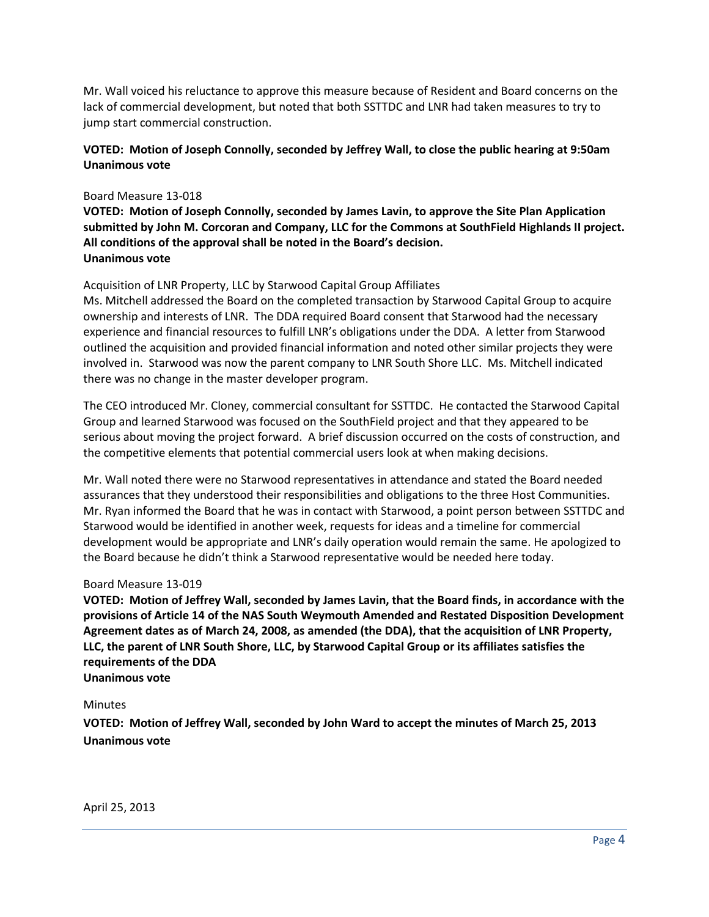Mr. Wall voiced his reluctance to approve this measure because of Resident and Board concerns on the lack of commercial development, but noted that both SSTTDC and LNR had taken measures to try to jump start commercial construction.

# **VOTED: Motion of Joseph Connolly, seconded by Jeffrey Wall, to close the public hearing at 9:50am Unanimous vote**

#### Board Measure 13-018

**VOTED: Motion of Joseph Connolly, seconded by James Lavin, to approve the Site Plan Application submitted by John M. Corcoran and Company, LLC for the Commons at SouthField Highlands II project. All conditions of the approval shall be noted in the Board's decision. Unanimous vote**

## Acquisition of LNR Property, LLC by Starwood Capital Group Affiliates

Ms. Mitchell addressed the Board on the completed transaction by Starwood Capital Group to acquire ownership and interests of LNR. The DDA required Board consent that Starwood had the necessary experience and financial resources to fulfill LNR's obligations under the DDA. A letter from Starwood outlined the acquisition and provided financial information and noted other similar projects they were involved in. Starwood was now the parent company to LNR South Shore LLC. Ms. Mitchell indicated there was no change in the master developer program.

The CEO introduced Mr. Cloney, commercial consultant for SSTTDC. He contacted the Starwood Capital Group and learned Starwood was focused on the SouthField project and that they appeared to be serious about moving the project forward. A brief discussion occurred on the costs of construction, and the competitive elements that potential commercial users look at when making decisions.

Mr. Wall noted there were no Starwood representatives in attendance and stated the Board needed assurances that they understood their responsibilities and obligations to the three Host Communities. Mr. Ryan informed the Board that he was in contact with Starwood, a point person between SSTTDC and Starwood would be identified in another week, requests for ideas and a timeline for commercial development would be appropriate and LNR's daily operation would remain the same. He apologized to the Board because he didn't think a Starwood representative would be needed here today.

#### Board Measure 13-019

**VOTED: Motion of Jeffrey Wall, seconded by James Lavin, that the Board finds, in accordance with the provisions of Article 14 of the NAS South Weymouth Amended and Restated Disposition Development Agreement dates as of March 24, 2008, as amended (the DDA), that the acquisition of LNR Property, LLC, the parent of LNR South Shore, LLC, by Starwood Capital Group or its affiliates satisfies the requirements of the DDA Unanimous vote**

#### **Minutes**

**VOTED: Motion of Jeffrey Wall, seconded by John Ward to accept the minutes of March 25, 2013 Unanimous vote**